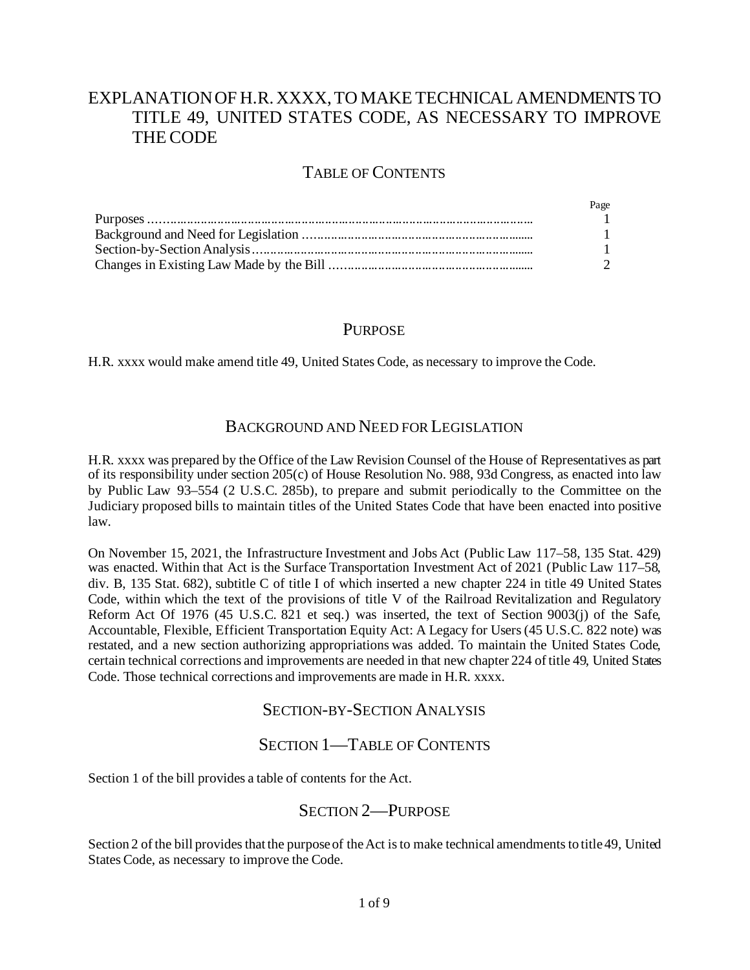# EXPLANATION OF H.R. XXXX, TO MAKE TECHNICAL AMENDMENTS TO TITLE 49, UNITED STATES CODE, AS NECESSARY TO IMPROVE THE CODE

## TABLE OF CONTENTS

| Page          |
|---------------|
| $\mathbf{1}$  |
| $\mathbf{1}$  |
|               |
| $\mathcal{D}$ |

## **PURPOSE**

H.R. xxxx would make amend title 49, United States Code, as necessary to improve the Code.

## BACKGROUND AND NEED FOR LEGISLATION

H.R. xxxx was prepared by the Office of the Law Revision Counsel of the House of Representatives as part of its responsibility under section 205(c) of House Resolution No. 988, 93d Congress, as enacted into law by Public Law 93–554 (2 U.S.C. 285b), to prepare and submit periodically to the Committee on the Judiciary proposed bills to maintain titles of the United States Code that have been enacted into positive law.

On November 15, 2021, the Infrastructure Investment and Jobs Act (Public Law 117–58, 135 Stat. 429) was enacted. Within that Act is the Surface Transportation Investment Act of 2021 (Public Law 117–58, div. B, 135 Stat. 682), subtitle C of title I of which inserted a new chapter 224 in title 49 United States Code, within which the text of the provisions of title V of the Railroad Revitalization and Regulatory Reform Act Of 1976 (45 U.S.C. 821 et seq.) was inserted, the text of Section 9003(j) of the Safe, Accountable, Flexible, Efficient Transportation Equity Act: A Legacy for Users (45 U.S.C. 822 note) was restated, and a new section authorizing appropriations was added. To maintain the United States Code, certain technical corrections and improvements are needed in that new chapter 224 of title 49, United States Code. Those technical corrections and improvements are made in H.R. xxxx.

## SECTION-BY-SECTION ANALYSIS

## SECTION 1—TABLE OF CONTENTS

Section 1 of the bill provides a table of contents for the Act.

## SECTION 2—PURPOSE

Section 2 of the bill provides that the purpose of the Act is to make technical amendments to title 49, United States Code, as necessary to improve the Code.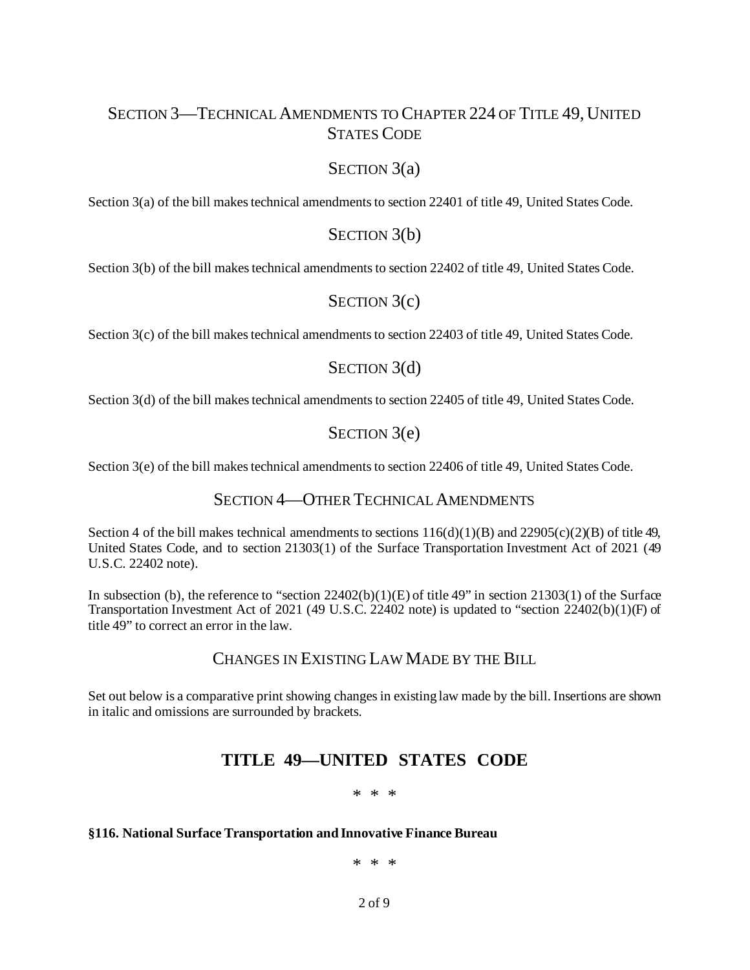# SECTION 3—TECHNICAL AMENDMENTS TO CHAPTER 224 OF TITLE 49, UNITED STATES CODE

## SECTION 3(a)

Section 3(a) of the bill makes technical amendments to section 22401 of title 49, United States Code.

### SECTION 3(b)

Section 3(b) of the bill makes technical amendments to section 22402 of title 49, United States Code.

## SECTION 3(c)

Section 3(c) of the bill makes technical amendments to section 22403 of title 49, United States Code.

## SECTION 3(d)

Section 3(d) of the bill makes technical amendments to section 22405 of title 49, United States Code.

## SECTION 3(e)

Section 3(e) of the bill makes technical amendments to section 22406 of title 49, United States Code.

## SECTION 4—OTHER TECHNICAL AMENDMENTS

Section 4 of the bill makes technical amendments to sections  $116(d)(1)(B)$  and  $22905(c)(2)(B)$  of title 49, United States Code, and to section 21303(1) of the Surface Transportation Investment Act of 2021 (49 U.S.C. 22402 note).

In subsection (b), the reference to "section  $22402(b)(1)(E)$  of title 49" in section  $21303(1)$  of the Surface Transportation Investment Act of 2021 (49 U.S.C. 22402 note) is updated to "section 22402(b)(1)(F) of title 49" to correct an error in the law.

## CHANGES IN EXISTING LAW MADE BY THE BILL

Set out below is a comparative print showing changes in existing law made by the bill. Insertions are shown in italic and omissions are surrounded by brackets.

# **TITLE 49—UNITED STATES CODE**

### \* \* \*

### **§116. National Surface Transportation and Innovative Finance Bureau**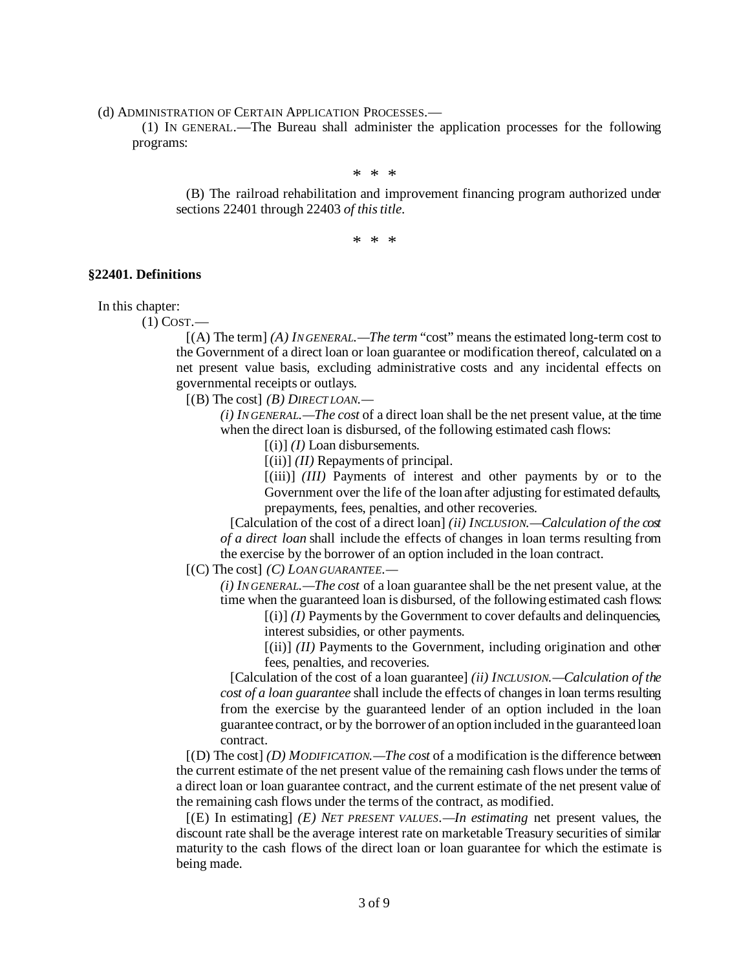(d) ADMINISTRATION OF CERTAIN APPLICATION PROCESSES.—

 (1) IN GENERAL.—The Bureau shall administer the application processes for the following programs:

\* \* \* (B) The railroad rehabilitation and improvement financing program authorized under sections 22401 through 22403 *of this title*.

\* \* \*

#### **§22401. Definitions**

In this chapter:

(1) COST.—

 [(A) The term] *(A) IN GENERAL.—The term* "cost" means the estimated long-term cost to the Government of a direct loan or loan guarantee or modification thereof, calculated on a net present value basis, excluding administrative costs and any incidental effects on governmental receipts or outlays.

[(B) The cost] *(B) DIRECT LOAN.—*

*(i) IN GENERAL.—The cost* of a direct loan shall be the net present value, at the time when the direct loan is disbursed, of the following estimated cash flows:

[(i)] *(I)* Loan disbursements.

[(ii)] *(II)* Repayments of principal.

[(iii)] *(III)* Payments of interest and other payments by or to the Government over the life of the loan after adjusting for estimated defaults, prepayments, fees, penalties, and other recoveries.

 [Calculation of the cost of a direct loan] *(ii) INCLUSION.—Calculation of the cost of a direct loan* shall include the effects of changes in loan terms resulting from the exercise by the borrower of an option included in the loan contract.

[(C) The cost] *(C) LOAN GUARANTEE.—*

*(i) IN GENERAL.—The cost* of a loan guarantee shall be the net present value, at the time when the guaranteed loan is disbursed, of the following estimated cash flows:

 $[(i)]$  *(I)* Payments by the Government to cover defaults and delinquencies, interest subsidies, or other payments.

 $[(ii)]$  *(II)* Payments to the Government, including origination and other fees, penalties, and recoveries.

 [Calculation of the cost of a loan guarantee] *(ii) INCLUSION.—Calculation of the cost of a loan guarantee* shall include the effects of changes in loan terms resulting from the exercise by the guaranteed lender of an option included in the loan guarantee contract, or by the borrower of an option included in the guaranteed loan contract.

 [(D) The cost] *(D) MODIFICATION.—The cost* of a modification is the difference between the current estimate of the net present value of the remaining cash flows under the terms of a direct loan or loan guarantee contract, and the current estimate of the net present value of the remaining cash flows under the terms of the contract, as modified.

 [(E) In estimating] *(E) NET PRESENT VALUES.—In estimating* net present values, the discount rate shall be the average interest rate on marketable Treasury securities of similar maturity to the cash flows of the direct loan or loan guarantee for which the estimate is being made.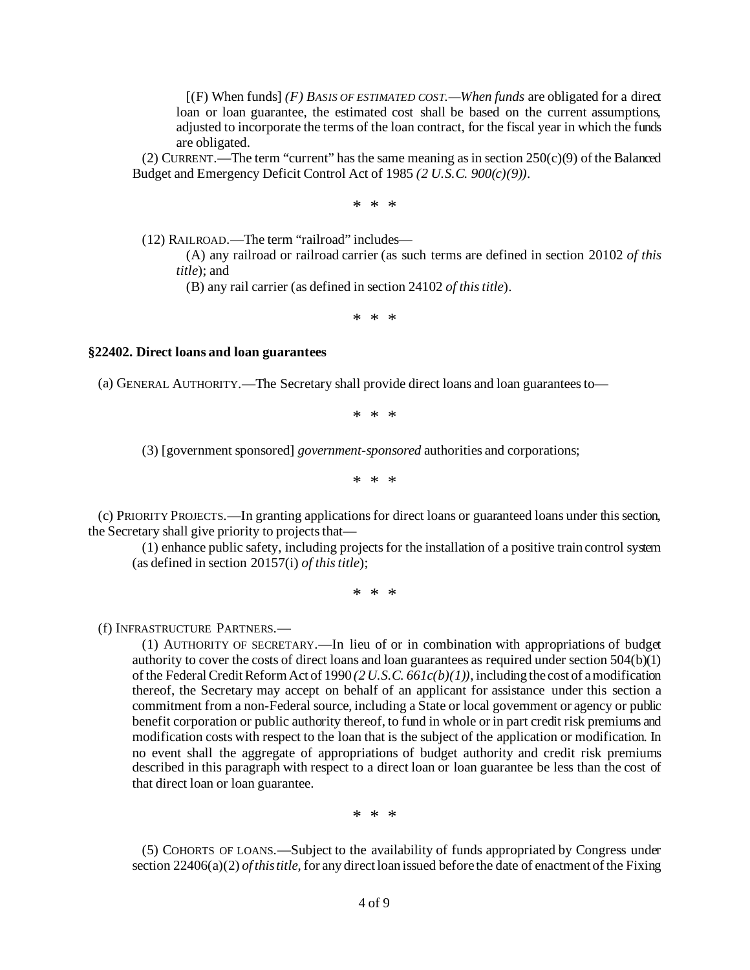[(F) When funds] *(F) BASIS OF ESTIMATED COST.—When funds* are obligated for a direct loan or loan guarantee, the estimated cost shall be based on the current assumptions, adjusted to incorporate the terms of the loan contract, for the fiscal year in which the funds are obligated.

(2) CURRENT.—The term "current" has the same meaning as in section  $250(c)(9)$  of the Balanced Budget and Emergency Deficit Control Act of 1985 *(2 U.S.C. 900(c)(9))*.

\* \* \*

(12) RAILROAD.—The term "railroad" includes—

 (A) any railroad or railroad carrier (as such terms are defined in section 20102 *of this title*); and

(B) any rail carrier (as defined in section 24102 *of this title*).

\* \* \*

#### **§22402. Direct loans and loan guarantees**

(a) GENERAL AUTHORITY.—The Secretary shall provide direct loans and loan guarantees to—

\* \* \*

(3) [government sponsored] *government-sponsored* authorities and corporations;

\* \* \*

 (c) PRIORITY PROJECTS.—In granting applications for direct loans or guaranteed loans under this section, the Secretary shall give priority to projects that—

 (1) enhance public safety, including projects for the installation of a positive train control system (as defined in section 20157(i) *of this title*);

\* \* \*

(f) INFRASTRUCTURE PARTNERS.—

 (1) AUTHORITY OF SECRETARY.—In lieu of or in combination with appropriations of budget authority to cover the costs of direct loans and loan guarantees as required under section 504(b)(1) of the Federal Credit Reform Act of 1990 *(2 U.S.C. 661c(b)(1))*, including the cost of a modification thereof, the Secretary may accept on behalf of an applicant for assistance under this section a commitment from a non-Federal source, including a State or local government or agency or public benefit corporation or public authority thereof, to fund in whole or in part credit risk premiums and modification costs with respect to the loan that is the subject of the application or modification. In no event shall the aggregate of appropriations of budget authority and credit risk premiums described in this paragraph with respect to a direct loan or loan guarantee be less than the cost of that direct loan or loan guarantee.

\* \* \*

 (5) COHORTS OF LOANS.—Subject to the availability of funds appropriated by Congress under section 22406(a)(2) *of this title*, for any direct loan issued before the date of enactment of the Fixing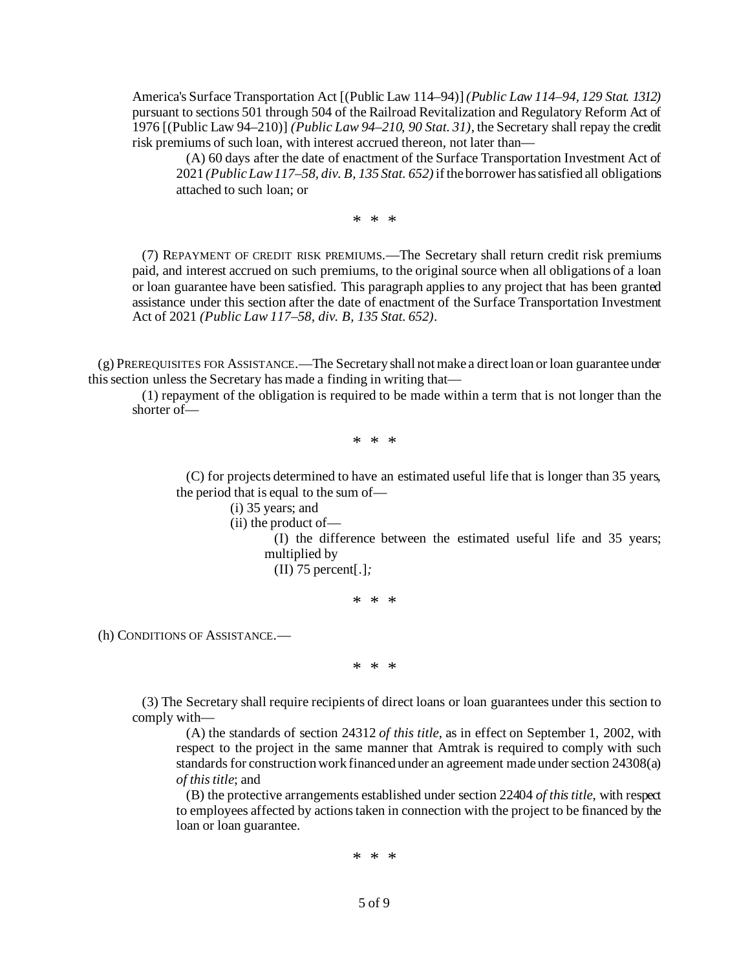America's Surface Transportation Act [(Public Law 114–94)] *(Public Law 114–94, 129 Stat. 1312)* pursuant to sections 501 through 504 of the Railroad Revitalization and Regulatory Reform Act of 1976 [(Public Law 94–210)] *(Public Law 94–210, 90 Stat. 31)*, the Secretary shall repay the credit risk premiums of such loan, with interest accrued thereon, not later than—

 (A) 60 days after the date of enactment of the Surface Transportation Investment Act of 2021 *(Public Law 117–58, div. B, 135 Stat. 652)*if the borrower has satisfied all obligations attached to such loan; or

\* \* \*

 (7) REPAYMENT OF CREDIT RISK PREMIUMS.—The Secretary shall return credit risk premiums paid, and interest accrued on such premiums, to the original source when all obligations of a loan or loan guarantee have been satisfied. This paragraph applies to any project that has been granted assistance under this section after the date of enactment of the Surface Transportation Investment Act of 2021 *(Public Law 117–58, div. B, 135 Stat. 652)*.

 (g) PREREQUISITES FOR ASSISTANCE.—The Secretary shall not make a direct loan or loan guarantee under this section unless the Secretary has made a finding in writing that—

 (1) repayment of the obligation is required to be made within a term that is not longer than the shorter of—

\* \* \*

 (C) for projects determined to have an estimated useful life that is longer than 35 years, the period that is equal to the sum of—

(i) 35 years; and

(ii) the product of—

 (I) the difference between the estimated useful life and 35 years; multiplied by

(II) 75 percent[.]*;*

\* \* \*

(h) CONDITIONS OF ASSISTANCE.—

\* \* \*

 (3) The Secretary shall require recipients of direct loans or loan guarantees under this section to comply with—

 (A) the standards of section 24312 *of this title*, as in effect on September 1, 2002, with respect to the project in the same manner that Amtrak is required to comply with such standards for construction work financed under an agreement made under section 24308(a) *of this title*; and

 (B) the protective arrangements established under section 22404 *of this title*, with respect to employees affected by actions taken in connection with the project to be financed by the loan or loan guarantee.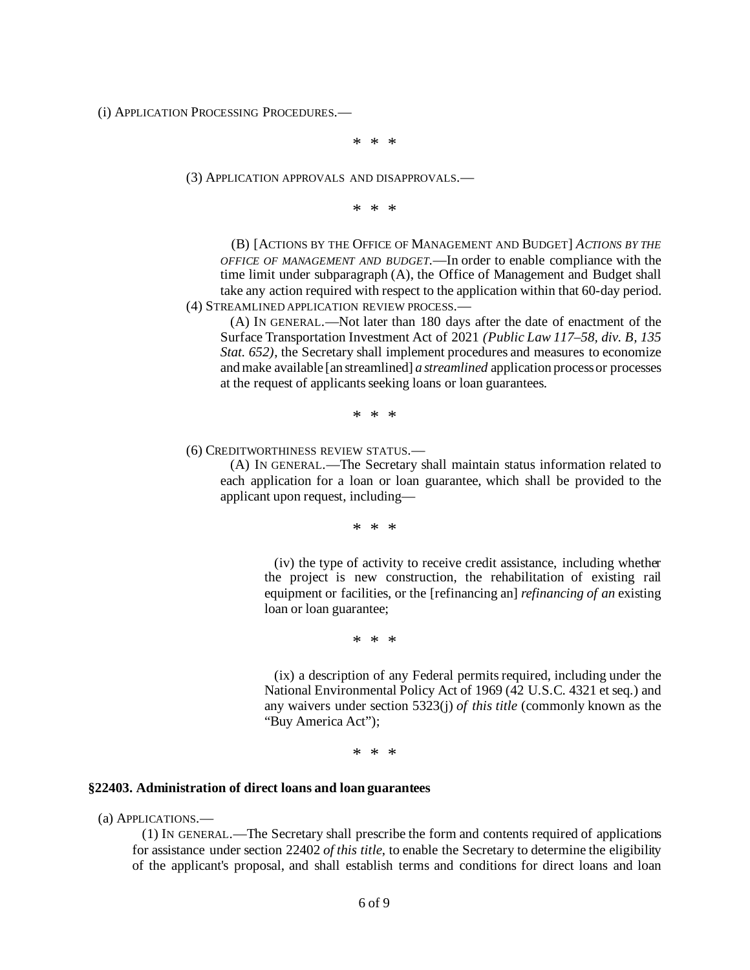(i) APPLICATION PROCESSING PROCEDURES.—

\* \* \*

(3) APPLICATION APPROVALS AND DISAPPROVALS.—

\* \* \*

 (B) [ACTIONS BY THE OFFICE OF MANAGEMENT AND BUDGET] *ACTIONS BY THE OFFICE OF MANAGEMENT AND BUDGET*.—In order to enable compliance with the time limit under subparagraph (A), the Office of Management and Budget shall take any action required with respect to the application within that 60-day period. (4) STREAMLINED APPLICATION REVIEW PROCESS.—

 (A) IN GENERAL.—Not later than 180 days after the date of enactment of the Surface Transportation Investment Act of 2021 *(Public Law 117–58, div. B, 135 Stat.*  $652$ , the Secretary shall implement procedures and measures to economize and make available [an streamlined] *a streamlined* application process or processes at the request of applicants seeking loans or loan guarantees.

\* \* \*

### (6) CREDITWORTHINESS REVIEW STATUS.—

 (A) IN GENERAL.—The Secretary shall maintain status information related to each application for a loan or loan guarantee, which shall be provided to the applicant upon request, including—

\* \* \*

 (iv) the type of activity to receive credit assistance, including whether the project is new construction, the rehabilitation of existing rail equipment or facilities, or the [refinancing an] *refinancing of an* existing loan or loan guarantee;

\* \* \*

 (ix) a description of any Federal permits required, including under the National Environmental Policy Act of 1969 (42 U.S.C. 4321 et seq.) and any waivers under section 5323(j) *of this title* (commonly known as the "Buy America Act");

\* \* \*

#### **§22403. Administration of direct loans and loan guarantees**

(a) APPLICATIONS.—

 (1) IN GENERAL.—The Secretary shall prescribe the form and contents required of applications for assistance under section 22402 *of this title*, to enable the Secretary to determine the eligibility of the applicant's proposal, and shall establish terms and conditions for direct loans and loan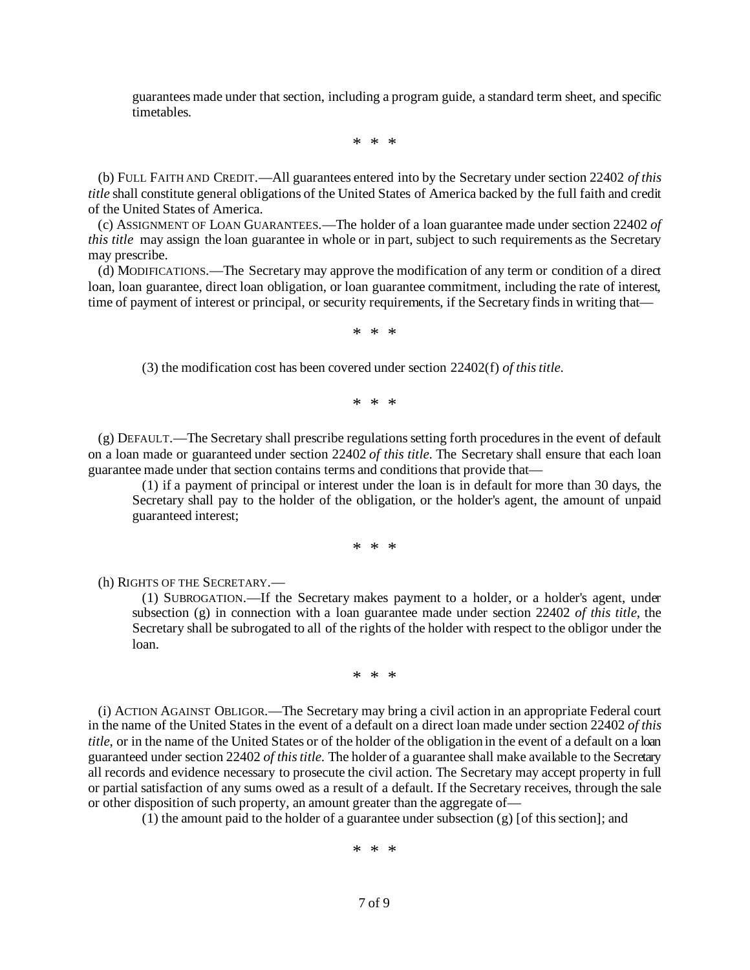guarantees made under that section, including a program guide, a standard term sheet, and specific timetables.

\* \* \*

 (b) FULL FAITH AND CREDIT.—All guarantees entered into by the Secretary under section 22402 *of this title* shall constitute general obligations of the United States of America backed by the full faith and credit of the United States of America.

 (c) ASSIGNMENT OF LOAN GUARANTEES.—The holder of a loan guarantee made under section 22402 *of this title* may assign the loan guarantee in whole or in part, subject to such requirements as the Secretary may prescribe.

 (d) MODIFICATIONS.—The Secretary may approve the modification of any term or condition of a direct loan, loan guarantee, direct loan obligation, or loan guarantee commitment, including the rate of interest, time of payment of interest or principal, or security requirements, if the Secretary finds in writing that—

\* \* \*

(3) the modification cost has been covered under section 22402(f) *of this title*.

\* \* \*

 (g) DEFAULT.—The Secretary shall prescribe regulations setting forth procedures in the event of default on a loan made or guaranteed under section 22402 *of this title*. The Secretary shall ensure that each loan guarantee made under that section contains terms and conditions that provide that—

 (1) if a payment of principal or interest under the loan is in default for more than 30 days, the Secretary shall pay to the holder of the obligation, or the holder's agent, the amount of unpaid guaranteed interest;

\* \* \*

(h) RIGHTS OF THE SECRETARY.—

 (1) SUBROGATION.—If the Secretary makes payment to a holder, or a holder's agent, under subsection (g) in connection with a loan guarantee made under section 22402 *of this title*, the Secretary shall be subrogated to all of the rights of the holder with respect to the obligor under the loan.

\* \* \*

 (i) ACTION AGAINST OBLIGOR.—The Secretary may bring a civil action in an appropriate Federal court in the name of the United States in the event of a default on a direct loan made under section 22402 *of this title*, or in the name of the United States or of the holder of the obligation in the event of a default on a loan guaranteed under section 22402 *of this title*. The holder of a guarantee shall make available to the Secretary all records and evidence necessary to prosecute the civil action. The Secretary may accept property in full or partial satisfaction of any sums owed as a result of a default. If the Secretary receives, through the sale or other disposition of such property, an amount greater than the aggregate of—

(1) the amount paid to the holder of a guarantee under subsection  $(g)$  [of this section]; and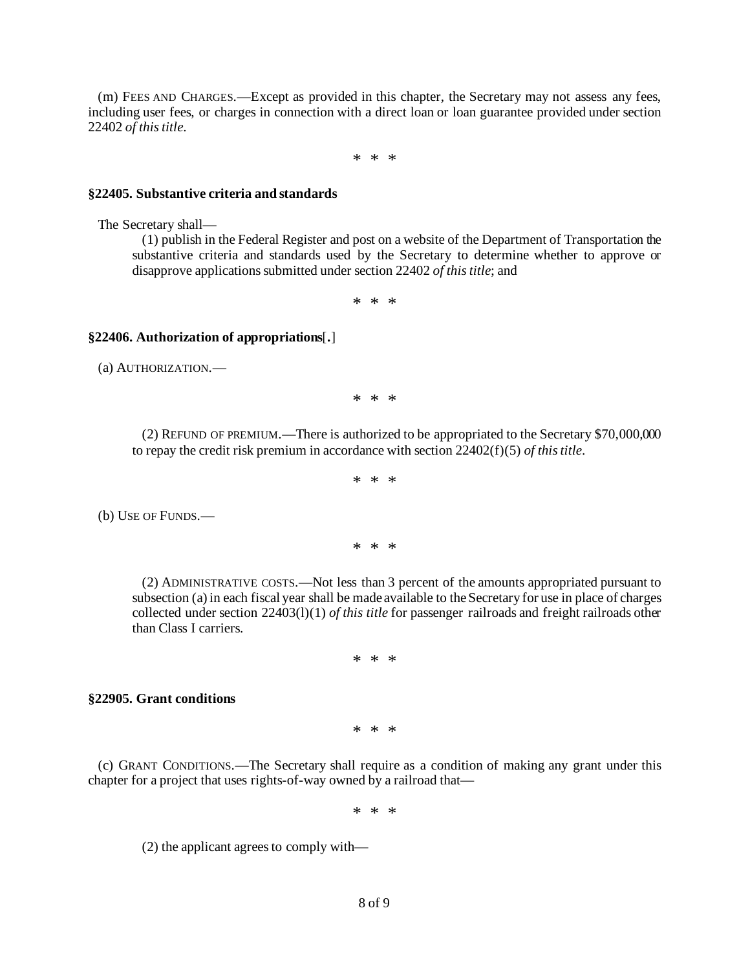(m) FEES AND CHARGES.—Except as provided in this chapter, the Secretary may not assess any fees, including user fees, or charges in connection with a direct loan or loan guarantee provided under section 22402 *of this title*.

\* \* \*

#### **§22405. Substantive criteria and standards**

The Secretary shall—

 (1) publish in the Federal Register and post on a website of the Department of Transportation the substantive criteria and standards used by the Secretary to determine whether to approve or disapprove applications submitted under section 22402 *of this title*; and

\* \* \*

### **§22406. Authorization of appropriations**[**.**]

(a) AUTHORIZATION.—

\* \* \*

 (2) REFUND OF PREMIUM.—There is authorized to be appropriated to the Secretary \$70,000,000 to repay the credit risk premium in accordance with section 22402(f)(5) *of this title*.

$$
\ast\,\, *\,\, *
$$

(b) USE OF FUNDS.—

\* \* \*

 (2) ADMINISTRATIVE COSTS.—Not less than 3 percent of the amounts appropriated pursuant to subsection (a) in each fiscal year shall be made available to the Secretary for use in place of charges collected under section 22403(l)(1) *of this title* for passenger railroads and freight railroads other than Class I carriers.

\* \* \*

#### **§22905. Grant conditions**

\* \* \*

 (c) GRANT CONDITIONS.—The Secretary shall require as a condition of making any grant under this chapter for a project that uses rights-of-way owned by a railroad that—

\* \* \*

(2) the applicant agrees to comply with—